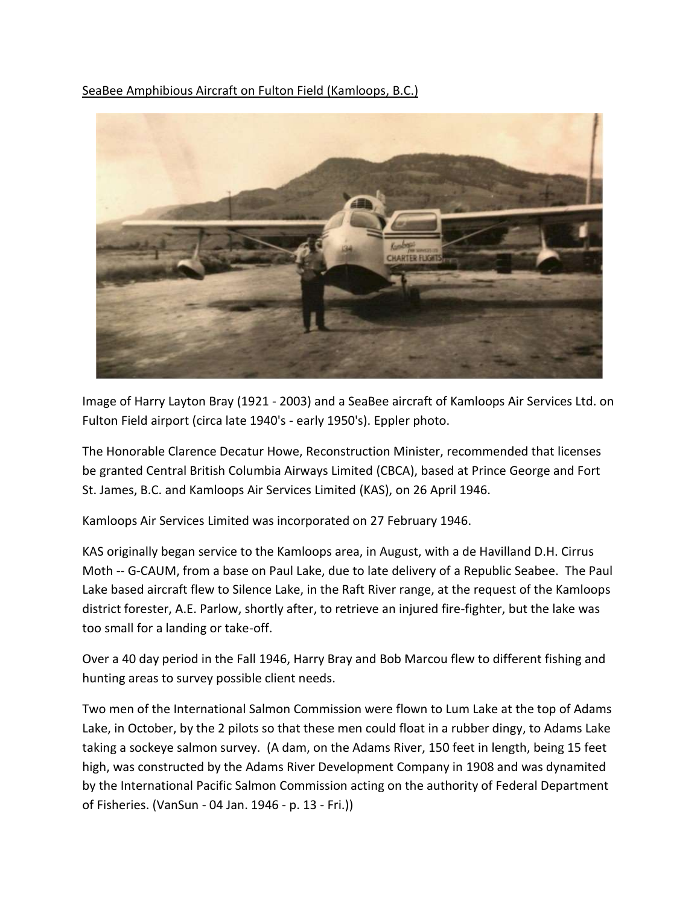SeaBee Amphibious Aircraft on Fulton Field (Kamloops, B.C.)



Image of Harry Layton Bray (1921 - 2003) and a SeaBee aircraft of Kamloops Air Services Ltd. on Fulton Field airport (circa late 1940's - early 1950's). Eppler photo.

The Honorable Clarence Decatur Howe, Reconstruction Minister, recommended that licenses be granted Central British Columbia Airways Limited (CBCA), based at Prince George and Fort St. James, B.C. and Kamloops Air Services Limited (KAS), on 26 April 1946.

Kamloops Air Services Limited was incorporated on 27 February 1946.

KAS originally began service to the Kamloops area, in August, with a de Havilland D.H. Cirrus Moth -- G-CAUM, from a base on Paul Lake, due to late delivery of a Republic Seabee. The Paul Lake based aircraft flew to Silence Lake, in the Raft River range, at the request of the Kamloops district forester, A.E. Parlow, shortly after, to retrieve an injured fire-fighter, but the lake was too small for a landing or take-off.

Over a 40 day period in the Fall 1946, Harry Bray and Bob Marcou flew to different fishing and hunting areas to survey possible client needs.

Two men of the International Salmon Commission were flown to Lum Lake at the top of Adams Lake, in October, by the 2 pilots so that these men could float in a rubber dingy, to Adams Lake taking a sockeye salmon survey. (A dam, on the Adams River, 150 feet in length, being 15 feet high, was constructed by the Adams River Development Company in 1908 and was dynamited by the International Pacific Salmon Commission acting on the authority of Federal Department of Fisheries. (VanSun - 04 Jan. 1946 - p. 13 - Fri.))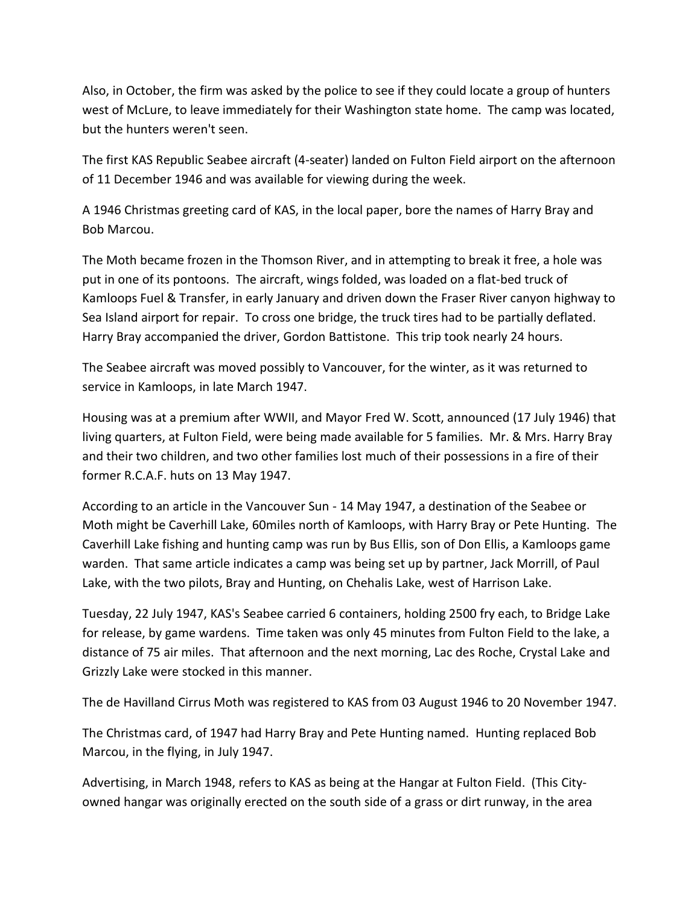Also, in October, the firm was asked by the police to see if they could locate a group of hunters west of McLure, to leave immediately for their Washington state home. The camp was located, but the hunters weren't seen.

The first KAS Republic Seabee aircraft (4-seater) landed on Fulton Field airport on the afternoon of 11 December 1946 and was available for viewing during the week.

A 1946 Christmas greeting card of KAS, in the local paper, bore the names of Harry Bray and Bob Marcou.

The Moth became frozen in the Thomson River, and in attempting to break it free, a hole was put in one of its pontoons. The aircraft, wings folded, was loaded on a flat-bed truck of Kamloops Fuel & Transfer, in early January and driven down the Fraser River canyon highway to Sea Island airport for repair. To cross one bridge, the truck tires had to be partially deflated. Harry Bray accompanied the driver, Gordon Battistone. This trip took nearly 24 hours.

The Seabee aircraft was moved possibly to Vancouver, for the winter, as it was returned to service in Kamloops, in late March 1947.

Housing was at a premium after WWII, and Mayor Fred W. Scott, announced (17 July 1946) that living quarters, at Fulton Field, were being made available for 5 families. Mr. & Mrs. Harry Bray and their two children, and two other families lost much of their possessions in a fire of their former R.C.A.F. huts on 13 May 1947.

According to an article in the Vancouver Sun - 14 May 1947, a destination of the Seabee or Moth might be Caverhill Lake, 60miles north of Kamloops, with Harry Bray or Pete Hunting. The Caverhill Lake fishing and hunting camp was run by Bus Ellis, son of Don Ellis, a Kamloops game warden. That same article indicates a camp was being set up by partner, Jack Morrill, of Paul Lake, with the two pilots, Bray and Hunting, on Chehalis Lake, west of Harrison Lake.

Tuesday, 22 July 1947, KAS's Seabee carried 6 containers, holding 2500 fry each, to Bridge Lake for release, by game wardens. Time taken was only 45 minutes from Fulton Field to the lake, a distance of 75 air miles. That afternoon and the next morning, Lac des Roche, Crystal Lake and Grizzly Lake were stocked in this manner.

The de Havilland Cirrus Moth was registered to KAS from 03 August 1946 to 20 November 1947.

The Christmas card, of 1947 had Harry Bray and Pete Hunting named. Hunting replaced Bob Marcou, in the flying, in July 1947.

Advertising, in March 1948, refers to KAS as being at the Hangar at Fulton Field. (This Cityowned hangar was originally erected on the south side of a grass or dirt runway, in the area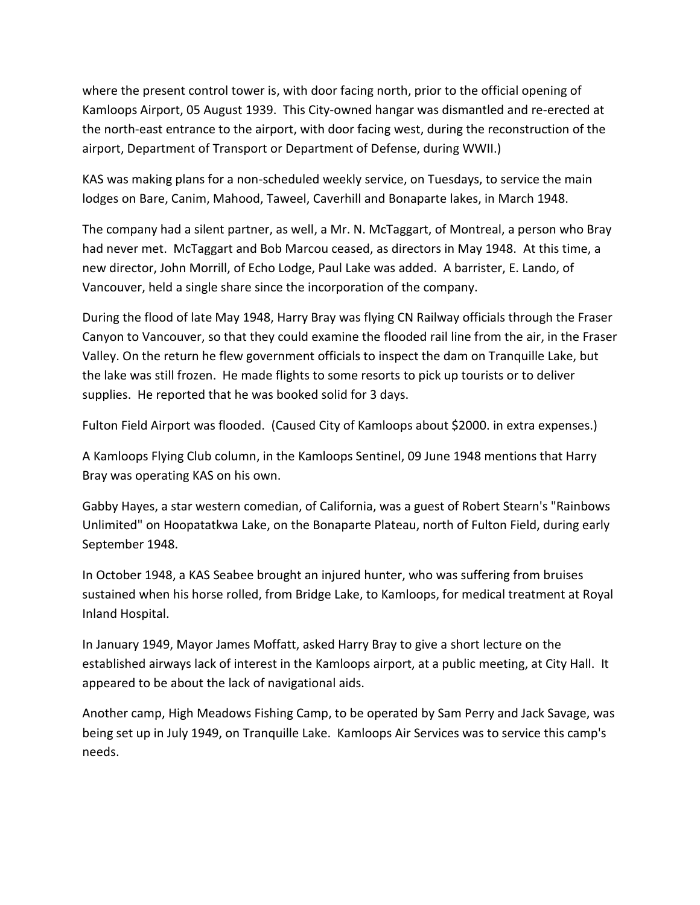where the present control tower is, with door facing north, prior to the official opening of Kamloops Airport, 05 August 1939. This City-owned hangar was dismantled and re-erected at the north-east entrance to the airport, with door facing west, during the reconstruction of the airport, Department of Transport or Department of Defense, during WWII.)

KAS was making plans for a non-scheduled weekly service, on Tuesdays, to service the main lodges on Bare, Canim, Mahood, Taweel, Caverhill and Bonaparte lakes, in March 1948.

The company had a silent partner, as well, a Mr. N. McTaggart, of Montreal, a person who Bray had never met. McTaggart and Bob Marcou ceased, as directors in May 1948. At this time, a new director, John Morrill, of Echo Lodge, Paul Lake was added. A barrister, E. Lando, of Vancouver, held a single share since the incorporation of the company.

During the flood of late May 1948, Harry Bray was flying CN Railway officials through the Fraser Canyon to Vancouver, so that they could examine the flooded rail line from the air, in the Fraser Valley. On the return he flew government officials to inspect the dam on Tranquille Lake, but the lake was still frozen. He made flights to some resorts to pick up tourists or to deliver supplies. He reported that he was booked solid for 3 days.

Fulton Field Airport was flooded. (Caused City of Kamloops about \$2000. in extra expenses.)

A Kamloops Flying Club column, in the Kamloops Sentinel, 09 June 1948 mentions that Harry Bray was operating KAS on his own.

Gabby Hayes, a star western comedian, of California, was a guest of Robert Stearn's "Rainbows Unlimited" on Hoopatatkwa Lake, on the Bonaparte Plateau, north of Fulton Field, during early September 1948.

In October 1948, a KAS Seabee brought an injured hunter, who was suffering from bruises sustained when his horse rolled, from Bridge Lake, to Kamloops, for medical treatment at Royal Inland Hospital.

In January 1949, Mayor James Moffatt, asked Harry Bray to give a short lecture on the established airways lack of interest in the Kamloops airport, at a public meeting, at City Hall. It appeared to be about the lack of navigational aids.

Another camp, High Meadows Fishing Camp, to be operated by Sam Perry and Jack Savage, was being set up in July 1949, on Tranquille Lake. Kamloops Air Services was to service this camp's needs.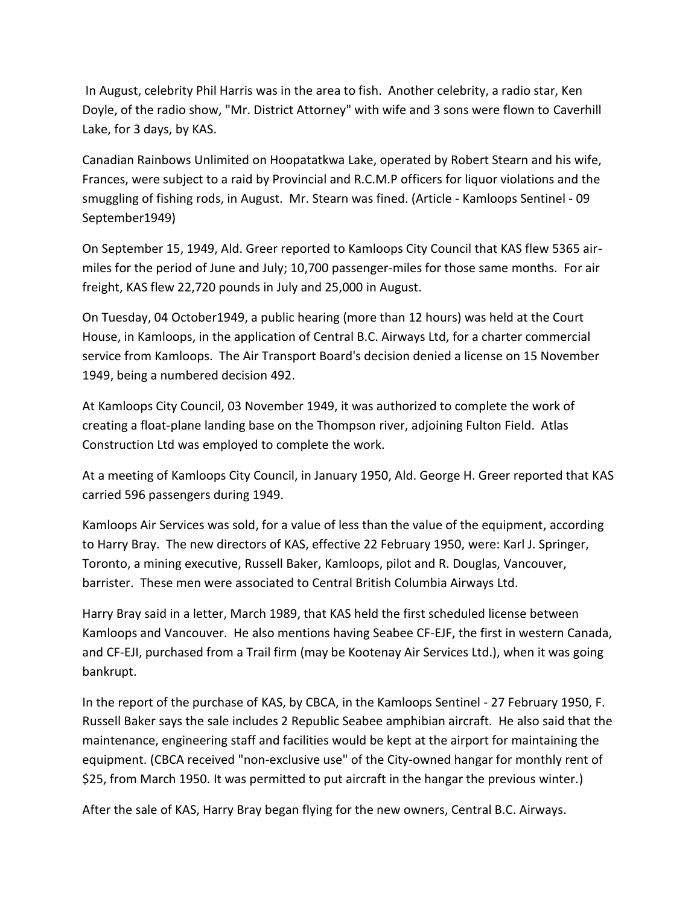In August, celebrity Phil Harris was in the area to fish. Another celebrity, a radio star, Ken Doyle, of the radio show, "Mr. District Attorney" with wife and 3 sons were flown to Caverhill Lake, for 3 days, by KAS.

Canadian Rainbows Unlimited on Hoopatatkwa Lake, operated by Robert Stearn and his wife, Frances, were subject to a raid by Provincial and R.C.M.P officers for liquor violations and the smuggling of fishing rods, in August. Mr. Stearn was fined. (Article - Kamloops Sentinel - 09 September1949)

On September 15, 1949, Ald. Greer reported to Kamloops City Council that KAS flew 5365 airmiles for the period of June and July; 10,700 passenger-miles for those same months. For air freight, KAS flew 22,720 pounds in July and 25,000 in August.

On Tuesday, 04 October1949, a public hearing (more than 12 hours) was held at the Court House, in Kamloops, in the application of Central B.C. Airways Ltd, for a charter commercial service from Kamloops. The Air Transport Board's decision denied a license on 15 November 1949, being a numbered decision 492.

At Kamloops City Council, 03 November 1949, it was authorized to complete the work of creating a float-plane landing base on the Thompson river, adjoining Fulton Field. Atlas Construction Ltd was employed to complete the work.

At a meeting of Kamloops City Council, in January 1950, Ald. George H. Greer reported that KAS carried 596 passengers during 1949.

Kamloops Air Services was sold, for a value of less than the value of the equipment, according to Harry Bray. The new directors of KAS, effective 22 February 1950, were: Karl J. Springer, Toronto, a mining executive, Russell Baker, Kamloops, pilot and R. Douglas, Vancouver, barrister. These men were associated to Central British Columbia Airways Ltd.

Harry Bray said in a letter, March 1989, that KAS held the first scheduled license between Kamloops and Vancouver. He also mentions having Seabee CF-EJF, the first in western Canada, and CF-EJI, purchased from a Trail firm (may be Kootenay Air Services Ltd.), when it was going bankrupt.

In the report of the purchase of KAS, by CBCA, in the Kamloops Sentinel - 27 February 1950, F. Russell Baker says the sale includes 2 Republic Seabee amphibian aircraft. He also said that the maintenance, engineering staff and facilities would be kept at the airport for maintaining the equipment. (CBCA received "non-exclusive use" of the City-owned hangar for monthly rent of \$25, from March 1950. It was permitted to put aircraft in the hangar the previous winter.)

After the sale of KAS, Harry Bray began flying for the new owners, Central B.C. Airways.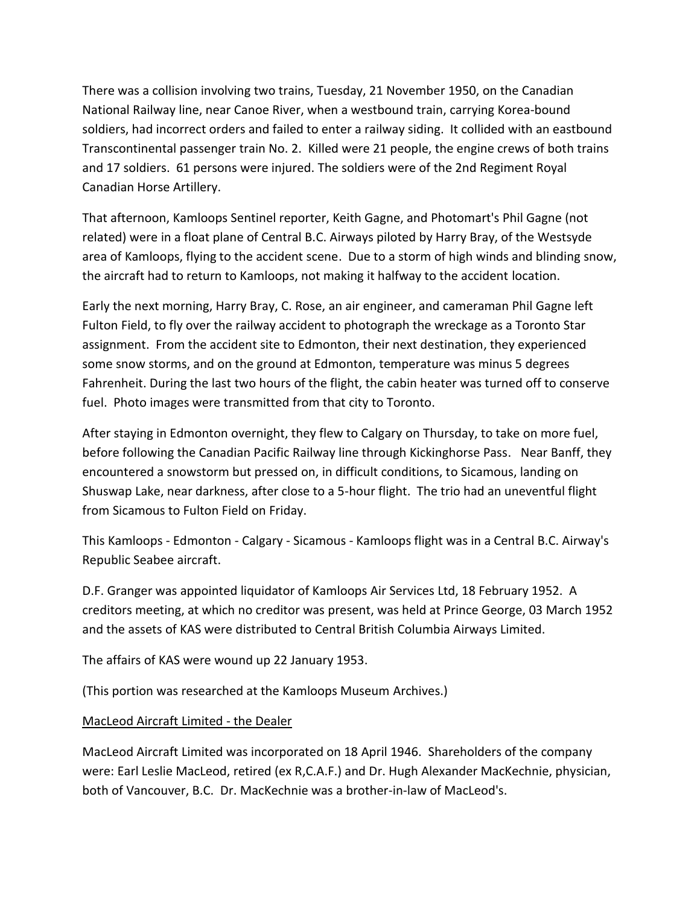There was a collision involving two trains, Tuesday, 21 November 1950, on the Canadian National Railway line, near Canoe River, when a westbound train, carrying Korea-bound soldiers, had incorrect orders and failed to enter a railway siding. It collided with an eastbound Transcontinental passenger train No. 2. Killed were 21 people, the engine crews of both trains and 17 soldiers. 61 persons were injured. The soldiers were of the 2nd Regiment Royal Canadian Horse Artillery.

That afternoon, Kamloops Sentinel reporter, Keith Gagne, and Photomart's Phil Gagne (not related) were in a float plane of Central B.C. Airways piloted by Harry Bray, of the Westsyde area of Kamloops, flying to the accident scene. Due to a storm of high winds and blinding snow, the aircraft had to return to Kamloops, not making it halfway to the accident location.

Early the next morning, Harry Bray, C. Rose, an air engineer, and cameraman Phil Gagne left Fulton Field, to fly over the railway accident to photograph the wreckage as a Toronto Star assignment. From the accident site to Edmonton, their next destination, they experienced some snow storms, and on the ground at Edmonton, temperature was minus 5 degrees Fahrenheit. During the last two hours of the flight, the cabin heater was turned off to conserve fuel. Photo images were transmitted from that city to Toronto.

After staying in Edmonton overnight, they flew to Calgary on Thursday, to take on more fuel, before following the Canadian Pacific Railway line through Kickinghorse Pass. Near Banff, they encountered a snowstorm but pressed on, in difficult conditions, to Sicamous, landing on Shuswap Lake, near darkness, after close to a 5-hour flight. The trio had an uneventful flight from Sicamous to Fulton Field on Friday.

This Kamloops - Edmonton - Calgary - Sicamous - Kamloops flight was in a Central B.C. Airway's Republic Seabee aircraft.

D.F. Granger was appointed liquidator of Kamloops Air Services Ltd, 18 February 1952. A creditors meeting, at which no creditor was present, was held at Prince George, 03 March 1952 and the assets of KAS were distributed to Central British Columbia Airways Limited.

The affairs of KAS were wound up 22 January 1953.

(This portion was researched at the Kamloops Museum Archives.)

## MacLeod Aircraft Limited - the Dealer

MacLeod Aircraft Limited was incorporated on 18 April 1946. Shareholders of the company were: Earl Leslie MacLeod, retired (ex R,C.A.F.) and Dr. Hugh Alexander MacKechnie, physician, both of Vancouver, B.C. Dr. MacKechnie was a brother-in-law of MacLeod's.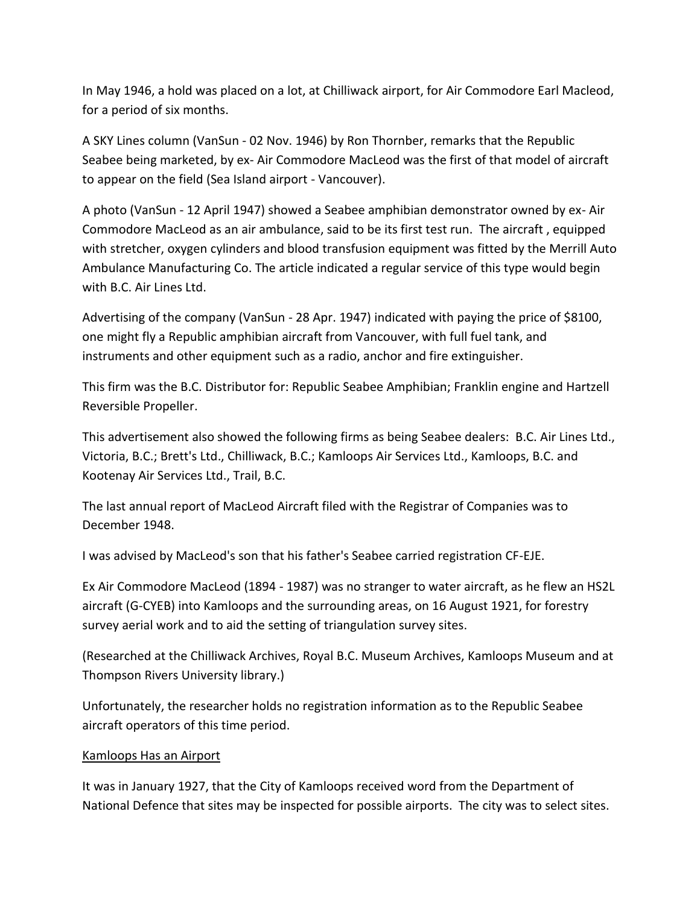In May 1946, a hold was placed on a lot, at Chilliwack airport, for Air Commodore Earl Macleod, for a period of six months.

A SKY Lines column (VanSun - 02 Nov. 1946) by Ron Thornber, remarks that the Republic Seabee being marketed, by ex- Air Commodore MacLeod was the first of that model of aircraft to appear on the field (Sea Island airport - Vancouver).

A photo (VanSun - 12 April 1947) showed a Seabee amphibian demonstrator owned by ex- Air Commodore MacLeod as an air ambulance, said to be its first test run. The aircraft , equipped with stretcher, oxygen cylinders and blood transfusion equipment was fitted by the Merrill Auto Ambulance Manufacturing Co. The article indicated a regular service of this type would begin with B.C. Air Lines Ltd.

Advertising of the company (VanSun - 28 Apr. 1947) indicated with paying the price of \$8100, one might fly a Republic amphibian aircraft from Vancouver, with full fuel tank, and instruments and other equipment such as a radio, anchor and fire extinguisher.

This firm was the B.C. Distributor for: Republic Seabee Amphibian; Franklin engine and Hartzell Reversible Propeller.

This advertisement also showed the following firms as being Seabee dealers: B.C. Air Lines Ltd., Victoria, B.C.; Brett's Ltd., Chilliwack, B.C.; Kamloops Air Services Ltd., Kamloops, B.C. and Kootenay Air Services Ltd., Trail, B.C.

The last annual report of MacLeod Aircraft filed with the Registrar of Companies was to December 1948.

I was advised by MacLeod's son that his father's Seabee carried registration CF-EJE.

Ex Air Commodore MacLeod (1894 - 1987) was no stranger to water aircraft, as he flew an HS2L aircraft (G-CYEB) into Kamloops and the surrounding areas, on 16 August 1921, for forestry survey aerial work and to aid the setting of triangulation survey sites.

(Researched at the Chilliwack Archives, Royal B.C. Museum Archives, Kamloops Museum and at Thompson Rivers University library.)

Unfortunately, the researcher holds no registration information as to the Republic Seabee aircraft operators of this time period.

## Kamloops Has an Airport

It was in January 1927, that the City of Kamloops received word from the Department of National Defence that sites may be inspected for possible airports. The city was to select sites.